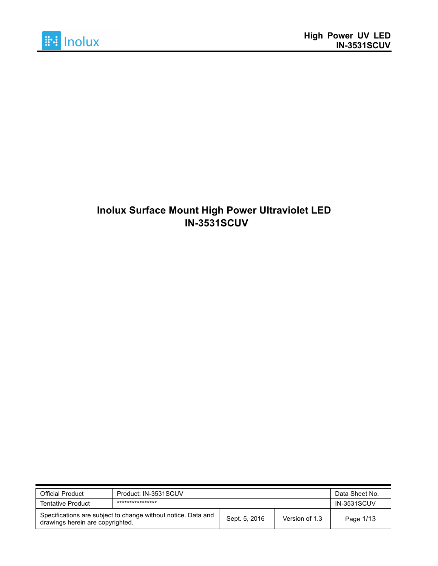

# **Inolux Surface Mount High Power Ultraviolet LED IN-3531SCUV**

| <b>Official Product</b>          | Product: IN-3531SCUV                                          | Data Sheet No. |                |           |  |  |
|----------------------------------|---------------------------------------------------------------|----------------|----------------|-----------|--|--|
| <b>Tentative Product</b>         | ****************                                              |                |                |           |  |  |
| drawings herein are copyrighted. | Specifications are subject to change without notice. Data and | Sept. 5, 2016  | Version of 1.3 | Page 1/13 |  |  |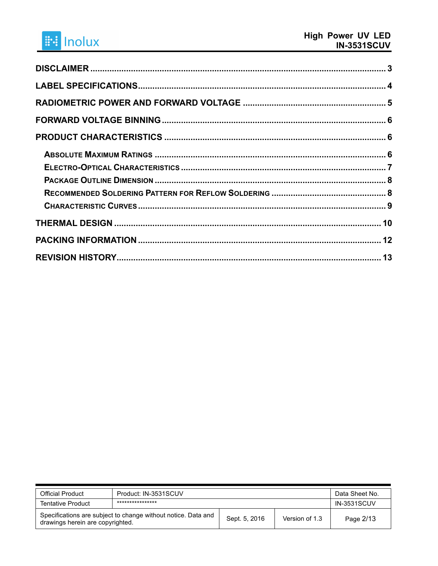# **i i lnolux**

| <b>Official Product</b>                                                                           | Product: IN-3531SCUV | Data Sheet No.     |           |
|---------------------------------------------------------------------------------------------------|----------------------|--------------------|-----------|
| <b>Tentative Product</b>                                                                          | ****************     | <b>IN-3531SCUV</b> |           |
| Specifications are subject to change without notice. Data and<br>drawings herein are copyrighted. | Sept. 5, 2016        | Version of 1.3     | Page 2/13 |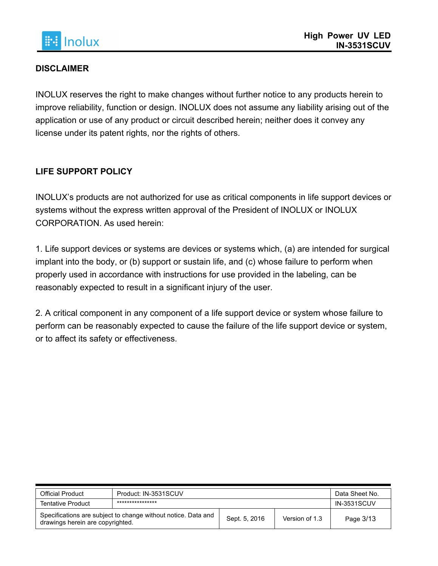

## **DISCLAIMER**

INOLUX reserves the right to make changes without further notice to any products herein to improve reliability, function or design. INOLUX does not assume any liability arising out of the application or use of any product or circuit described herein; neither does it convey any license under its patent rights, nor the rights of others.

## **LIFE SUPPORT POLICY**

INOLUX's products are not authorized for use as critical components in life support devices or systems without the express written approval of the President of INOLUX or INOLUX CORPORATION. As used herein:

1. Life support devices or systems are devices or systems which, (a) are intended for surgical implant into the body, or (b) support or sustain life, and (c) whose failure to perform when properly used in accordance with instructions for use provided in the labeling, can be reasonably expected to result in a significant injury of the user.

2. A critical component in any component of a life support device or system whose failure to perform can be reasonably expected to cause the failure of the life support device or system, or to affect its safety or effectiveness.

| <b>Official Product</b>                                                                           | Product: IN-3531SCUV | Data Sheet No.     |           |
|---------------------------------------------------------------------------------------------------|----------------------|--------------------|-----------|
| <b>Tentative Product</b>                                                                          | ****************     | <b>IN-3531SCUV</b> |           |
| Specifications are subject to change without notice. Data and<br>drawings herein are copyrighted. | Sept. 5, 2016        | Version of 1.3     | Page 3/13 |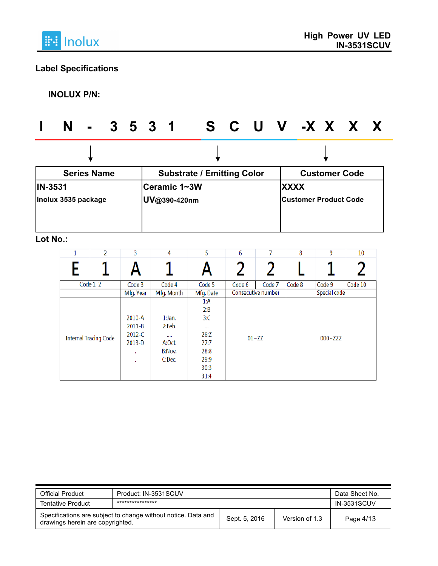

# **Label Specifications**

**INOLUX P/N:**

|                | N                   |                    |  |                                   |                              | - 3531 SCUV-XXXX     |  |             |                              |  |  |  |
|----------------|---------------------|--------------------|--|-----------------------------------|------------------------------|----------------------|--|-------------|------------------------------|--|--|--|
|                |                     |                    |  |                                   |                              |                      |  |             |                              |  |  |  |
|                |                     | <b>Series Name</b> |  | <b>Substrate / Emitting Color</b> |                              | <b>Customer Code</b> |  |             |                              |  |  |  |
| <b>IN-3531</b> | Inolux 3535 package |                    |  |                                   | Ceramic 1~3W<br>UV@390-420nm |                      |  | <b>XXXX</b> | <b>Customer Product Code</b> |  |  |  |
|                |                     |                    |  |                                   |                              |                      |  |             |                              |  |  |  |

# **Lot No.:**

| 2<br>1                       | 3                                                              | 4                                                          | 5                                                                             | 6      | 7                  | 8      | 9            | 10      |
|------------------------------|----------------------------------------------------------------|------------------------------------------------------------|-------------------------------------------------------------------------------|--------|--------------------|--------|--------------|---------|
|                              |                                                                |                                                            |                                                                               |        |                    |        |              |         |
| Code 1 2                     | Code 3                                                         | Code 4                                                     | Code 5                                                                        | Code 6 | Code 7             | Code 8 | Code 9       | Code 10 |
|                              | Mfg. Year                                                      | Mfg. Month                                                 | Mfg. Date                                                                     |        | Consecutive number |        | Special code |         |
| <b>Internal Tracing Code</b> | $2010 - A$<br>$2011 - B$<br>$2012 - C$<br>$2013 - D$<br>٠<br>٠ | $1:$ Jan.<br>2:Feb.<br>1.111<br>A:Oct.<br>B:Nov.<br>C:Dec. | 1: A<br>2:B<br>3C<br>$\cdots$<br>26:Z<br>27:7<br>28:8<br>29:9<br>30:3<br>31:4 |        | $01 - ZZ$          |        | $000 - ZZ$   |         |

| <b>Official Product</b>          | Product: IN-3531SCUV                                          | Data Sheet No.     |                |           |
|----------------------------------|---------------------------------------------------------------|--------------------|----------------|-----------|
| <b>Tentative Product</b>         | ****************                                              | <b>IN-3531SCUV</b> |                |           |
| drawings herein are copyrighted. | Specifications are subject to change without notice. Data and | Sept. 5, 2016      | Version of 1.3 | Page 4/13 |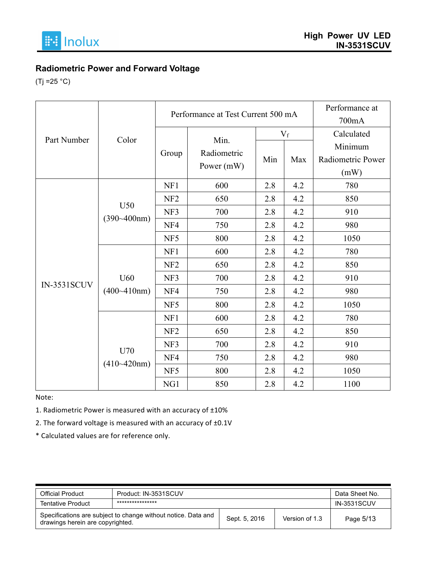

# **Radiometric Power and Forward Voltage**

 $(Tj = 25 °C)$ 

|                    |                 | Performance at Test Current 500 mA |             |     |       | Performance at    |
|--------------------|-----------------|------------------------------------|-------------|-----|-------|-------------------|
|                    |                 |                                    |             |     |       | 700mA             |
| Part Number        | Color           |                                    |             |     | $V_f$ | Calculated        |
|                    |                 |                                    | Min.        |     |       | Minimum           |
|                    |                 | Group                              | Radiometric | Min | Max   | Radiometric Power |
|                    |                 |                                    | Power (mW)  |     |       | (mW)              |
|                    |                 | NF1                                | 600         | 2.8 | 4.2   | 780               |
|                    |                 | NF <sub>2</sub>                    | 650         | 2.8 | 4.2   | 850               |
|                    | U50             | NF3                                | 700         | 2.8 | 4.2   | 910               |
|                    | $(390 - 400nm)$ | NF4                                | 750         | 2.8 | 4.2   | 980               |
|                    |                 | NF5                                | 800         | 2.8 | 4.2   | 1050              |
|                    |                 | NF1                                | 600         | 2.8 | 4.2   | 780               |
|                    |                 | NF <sub>2</sub>                    | 650         | 2.8 | 4.2   | 850               |
|                    | U60             | NF3                                | 700         | 2.8 | 4.2   | 910               |
| <b>IN-3531SCUV</b> | (400~410nm)     | NF4                                | 750         | 2.8 | 4.2   | 980               |
|                    |                 | NF5                                | 800         | 2.8 | 4.2   | 1050              |
|                    |                 | NF1                                | 600         | 2.8 | 4.2   | 780               |
|                    |                 | NF <sub>2</sub>                    | 650         | 2.8 | 4.2   | 850               |
|                    |                 | NF3                                | 700         | 2.8 | 4.2   | 910               |
|                    | U70             | NF4                                | 750         | 2.8 | 4.2   | 980               |
|                    | $(410-420nm)$   | NF5                                | 800         | 2.8 | 4.2   | 1050              |
|                    |                 | NG1                                | 850         | 2.8 | 4.2   | 1100              |

Note:

1. Radiometric Power is measured with an accuracy of  $\pm 10\%$ 

2. The forward voltage is measured with an accuracy of  $\pm 0.1V$ 

\* Calculated values are for reference only.

| <b>Official Product</b>                                                                           | Product: IN-3531SCUV | Data Sheet No.     |           |
|---------------------------------------------------------------------------------------------------|----------------------|--------------------|-----------|
| <b>Tentative Product</b>                                                                          | ****************     | <b>IN-3531SCUV</b> |           |
| Specifications are subject to change without notice. Data and<br>drawings herein are copyrighted. | Sept. 5, 2016        | Version of 1.3     | Page 5/13 |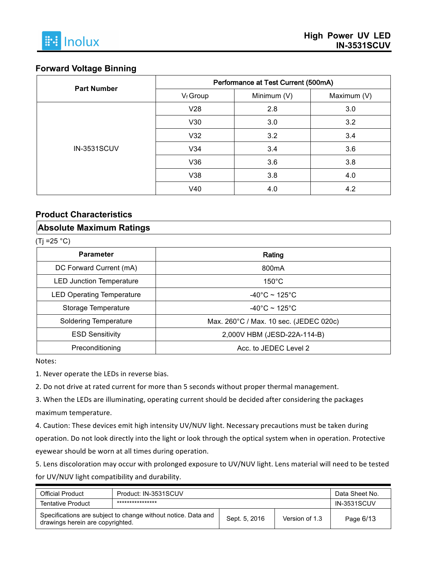#### **Forward Voltage Binning**

| <b>Part Number</b> | Performance at Test Current (500mA) |             |             |  |  |  |
|--------------------|-------------------------------------|-------------|-------------|--|--|--|
|                    | V <sub>f</sub> Group                | Minimum (V) | Maximum (V) |  |  |  |
|                    | V28                                 | 2.8         | 3.0         |  |  |  |
|                    | V30                                 | 3.0         | 3.2         |  |  |  |
|                    | V32                                 | 3.2         | 3.4         |  |  |  |
| <b>IN-3531SCUV</b> | V34                                 | 3.4         | 3.6         |  |  |  |
|                    | V36                                 | 3.6         | 3.8         |  |  |  |
|                    | V38                                 | 3.8         | 4.0         |  |  |  |
|                    | V40                                 | 4.0         | 4.2         |  |  |  |

#### **Product Characteristics**

#### **Absolute Maximum Ratings**

 $(Ti = 25 °C)$ 

| <b>Parameter</b>                 | Rating                                 |
|----------------------------------|----------------------------------------|
| DC Forward Current (mA)          | 800 <sub>m</sub> A                     |
| <b>LED Junction Temperature</b>  | $150^{\circ}$ C                        |
| <b>LED Operating Temperature</b> | $-40^{\circ}$ C ~ 125 $^{\circ}$ C     |
| Storage Temperature              | $-40^{\circ}$ C ~ 125 $^{\circ}$ C     |
| <b>Soldering Temperature</b>     | Max. 260°C / Max. 10 sec. (JEDEC 020c) |
| <b>ESD Sensitivity</b>           | 2,000V HBM (JESD-22A-114-B)            |
| Preconditioning                  | Acc. to JEDEC Level 2                  |

Notes:

1. Never operate the LEDs in reverse bias.

2. Do not drive at rated current for more than 5 seconds without proper thermal management.

3. When the LEDs are illuminating, operating current should be decided after considering the packages maximum temperature.

4. Caution: These devices emit high intensity UV/NUV light. Necessary precautions must be taken during operation. Do not look directly into the light or look through the optical system when in operation. Protective eyewear should be worn at all times during operation.

5. Lens discoloration may occur with prolonged exposure to UV/NUV light. Lens material will need to be tested for UV/NUV light compatibility and durability.

| <b>Official Product</b>                                                                           | Product: IN-3531SCUV | Data Sheet No.     |           |
|---------------------------------------------------------------------------------------------------|----------------------|--------------------|-----------|
| <b>Tentative Product</b>                                                                          | ****************     | <b>IN-3531SCUV</b> |           |
| Specifications are subject to change without notice. Data and<br>drawings herein are copyrighted. | Sept. 5, 2016        | Version of 1.3     | Page 6/13 |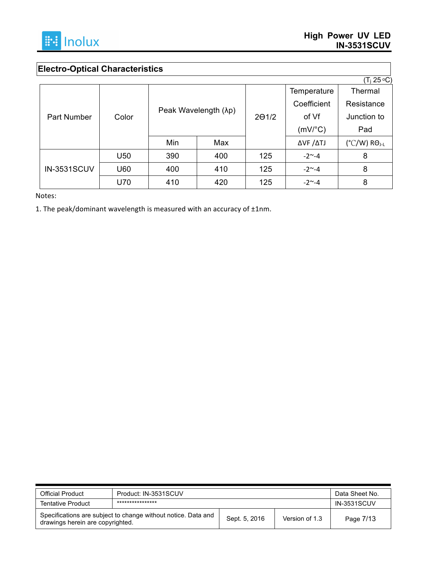

# **Electro-Optical Characteristics**

|                    |       |                      |     |               |                          | $(T_i 25 °C)$                     |
|--------------------|-------|----------------------|-----|---------------|--------------------------|-----------------------------------|
| <b>Part Number</b> |       | Peak Wavelength (λp) |     |               | Temperature              | Thermal                           |
|                    | Color |                      |     | $2\Theta$ 1/2 | Coefficient              | Resistance                        |
|                    |       |                      |     |               | of Vf                    | Junction to                       |
|                    |       |                      |     |               | $(mV)^{\circ}C)$         | Pad                               |
|                    |       | Min                  | Max |               | $\Delta$ VF $/\Delta$ TJ | $(^{\circ}C/W)$ RO <sub>J-L</sub> |
|                    | U50   | 390                  | 400 | 125           | $-2^{\sim} -4$           | 8                                 |
| <b>IN-3531SCUV</b> | U60   | 400                  | 410 | 125           | $-2^{\sim} -4$           | 8                                 |
|                    | U70   | 410                  | 420 | 125           | $-2^{\sim} -4$           | 8                                 |

Notes:

1. The peak/dominant wavelength is measured with an accuracy of  $\pm 1$ nm.

| <b>Official Product</b>          | Product: IN-3531SCUV                                                                             | Data Sheet No. |           |                    |
|----------------------------------|--------------------------------------------------------------------------------------------------|----------------|-----------|--------------------|
| <b>Tentative Product</b>         | ****************                                                                                 |                |           | <b>IN-3531SCUV</b> |
| drawings herein are copyrighted. | Specifications are subject to change without notice. Data and<br>Version of 1.3<br>Sept. 5, 2016 |                | Page 7/13 |                    |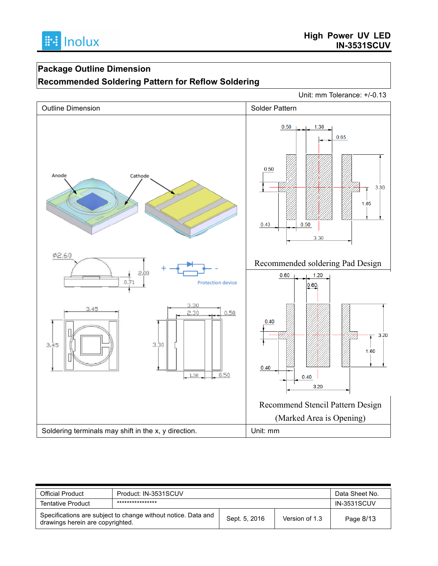# **Package Outline Dimension**

## **Recommended Soldering Pattern for Reflow Soldering**

Unit: mm Tolerance: +/-0.13



| <b>Official Product</b>          | Product: IN-3531SCUV                                                                             |  |           | Data Sheet No.     |
|----------------------------------|--------------------------------------------------------------------------------------------------|--|-----------|--------------------|
| <b>Tentative Product</b>         | ****************                                                                                 |  |           | <b>IN-3531SCUV</b> |
| drawings herein are copyrighted. | Specifications are subject to change without notice. Data and<br>Sept. 5, 2016<br>Version of 1.3 |  | Page 8/13 |                    |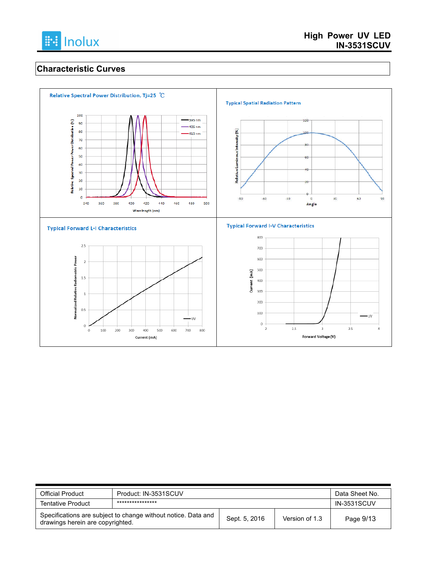

## **Characteristic Curves**



| <b>Official Product</b>                                                                           | Product: IN-3531SCUV |               |                | Data Sheet No.     |
|---------------------------------------------------------------------------------------------------|----------------------|---------------|----------------|--------------------|
| <b>Tentative Product</b>                                                                          | ****************     |               |                | <b>IN-3531SCUV</b> |
| Specifications are subject to change without notice. Data and<br>drawings herein are copyrighted. |                      | Sept. 5, 2016 | Version of 1.3 | Page 9/13          |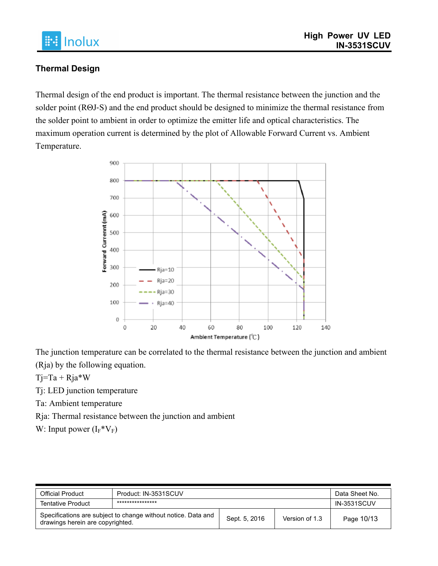

## **Thermal Design**

Thermal design of the end product is important. The thermal resistance between the junction and the solder point (RΘJ-S) and the end product should be designed to minimize the thermal resistance from the solder point to ambient in order to optimize the emitter life and optical characteristics. The maximum operation current is determined by the plot of Allowable Forward Current vs. Ambient Temperature.



The junction temperature can be correlated to the thermal resistance between the junction and ambient (Rja) by the following equation.

 $Tj=Ta + Rja*W$ 

Tj: LED junction temperature

Ta: Ambient temperature

Rja: Thermal resistance between the junction and ambient

W: Input power  $(I_F^*V_F)$ 

| <b>Official Product</b>                                                                           | Product: IN-3531SCUV | Data Sheet No. |                |                    |
|---------------------------------------------------------------------------------------------------|----------------------|----------------|----------------|--------------------|
| <b>Tentative Product</b>                                                                          | ****************     |                |                | <b>IN-3531SCUV</b> |
| Specifications are subject to change without notice. Data and<br>drawings herein are copyrighted. |                      | Sept. 5, 2016  | Version of 1.3 | Page 10/13         |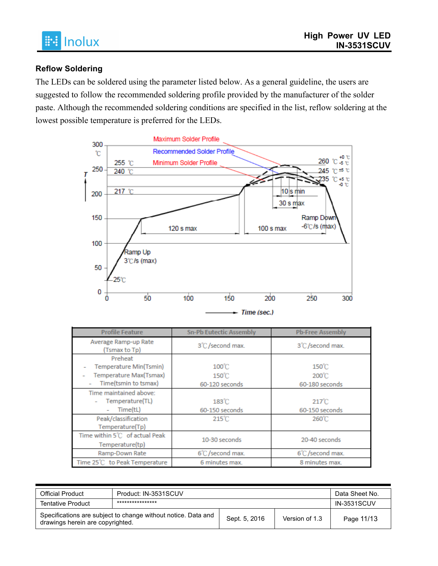## **Reflow Soldering**

The LEDs can be soldered using the parameter listed below. As a general guideline, the users are suggested to follow the recommended soldering profile provided by the manufacturer of the solder paste. Although the recommended soldering conditions are specified in the list, reflow soldering at the lowest possible temperature is preferred for the LEDs.



| <b>Profile Feature</b>                                                              | <b>Sn-Pb Eutectic Assembly</b>                       | <b>Pb-Free Assembly</b>                              |
|-------------------------------------------------------------------------------------|------------------------------------------------------|------------------------------------------------------|
| Average Ramp-up Rate<br>(Tsmax to Tp)                                               | 3°C /second max.                                     | 3°C /second max.                                     |
| Preheat<br>Temperature Min(Tsmin)<br>Temperature Max(Tsmax)<br>Time(tsmin to tsmax) | $100^{\circ}$ C<br>$150^{\circ}$ C<br>60-120 seconds | $150^{\circ}$ C<br>200°C<br>60-180 seconds           |
| Time maintained above:<br>Temperature(TL)<br>Time(tL)<br>Peak/classification        | $183^\circ$ C<br>60-150 seconds<br>$215^{\circ}$ C   | $217^{\circ}$ C<br>60-150 seconds<br>$260^{\circ}$ C |
| Temperature(Tp)<br>Time within 5°C of actual Peak<br>Temperature(tp)                | 10-30 seconds                                        | 20-40 seconds                                        |
| Ramp-Down Rate                                                                      | 6°C /second max.                                     | 6°C/second max.                                      |
| Time 25°C to Peak Temperature                                                       | 6 minutes max.                                       | 8 minutes max.                                       |

| <b>Official Product</b>                                                                           | Product: IN-3531SCUV |               |                | Data Sheet No.     |  |
|---------------------------------------------------------------------------------------------------|----------------------|---------------|----------------|--------------------|--|
| <b>Tentative Product</b>                                                                          | ****************     |               |                | <b>IN-3531SCUV</b> |  |
| Specifications are subject to change without notice. Data and<br>drawings herein are copyrighted. |                      | Sept. 5, 2016 | Version of 1.3 | Page 11/13         |  |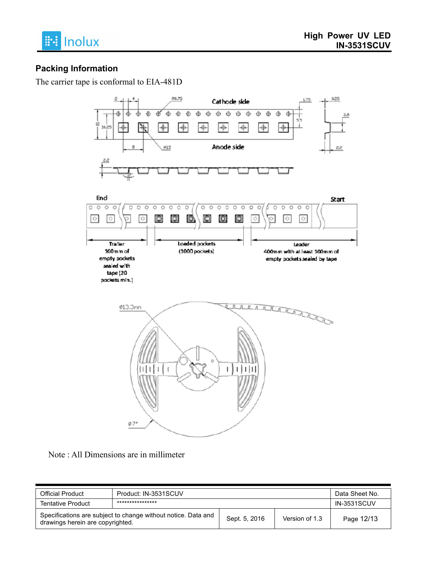

## **Packing Information**

The carrier tape is conformal to EIA-481D



Note : All Dimensions are in millimeter

| <b>Official Product</b>                                                                           | Product: IN-3531SCUV |               |                | Data Sheet No.     |  |
|---------------------------------------------------------------------------------------------------|----------------------|---------------|----------------|--------------------|--|
| <b>Tentative Product</b>                                                                          | ****************     |               |                | <b>IN-3531SCUV</b> |  |
| Specifications are subject to change without notice. Data and<br>drawings herein are copyrighted. |                      | Sept. 5, 2016 | Version of 1.3 | Page 12/13         |  |